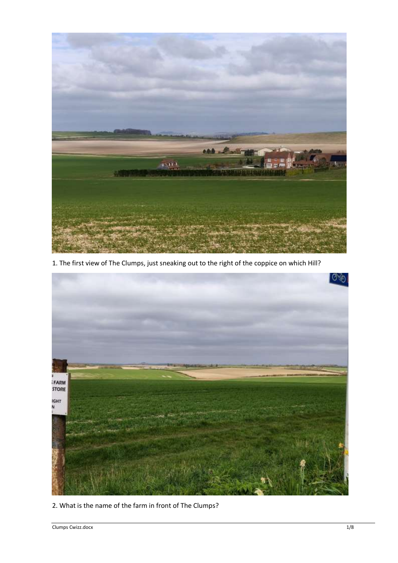

1. The first view of The Clumps, just sneaking out to the right of the coppice on which Hill?



2. What is the name of the farm in front of The Clumps?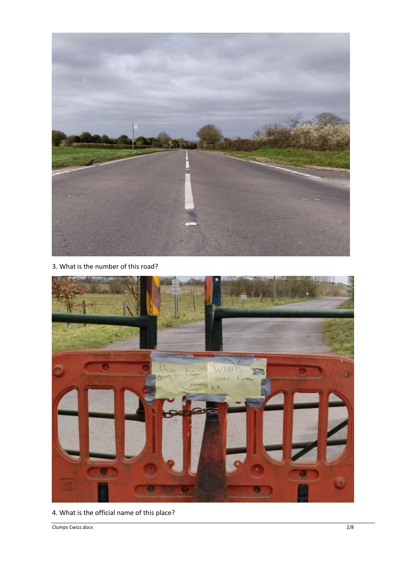

3. What is the number of this road?



4. What is the official name of this place?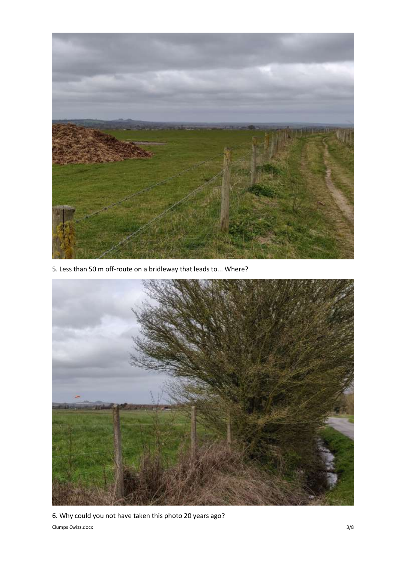

5. Less than 50 m off-route on a bridleway that leads to... Where?



6. Why could you not have taken this photo 20 years ago?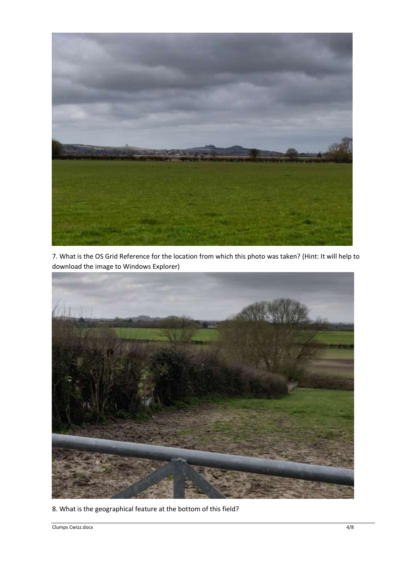

7. What is the OS Grid Reference for the location from which this photo was taken? (Hint: It will help to download the image to Windows Explorer)



8. What is the geographical feature at the bottom of this field?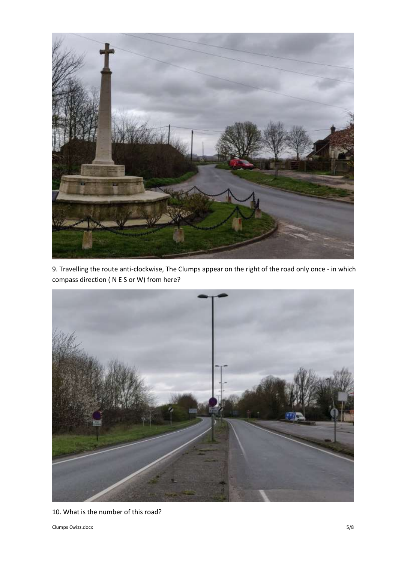

9. Travelling the route anti-clockwise, The Clumps appear on the right of the road only once - in which compass direction ( N E S or W) from here?



10. What is the number of this road?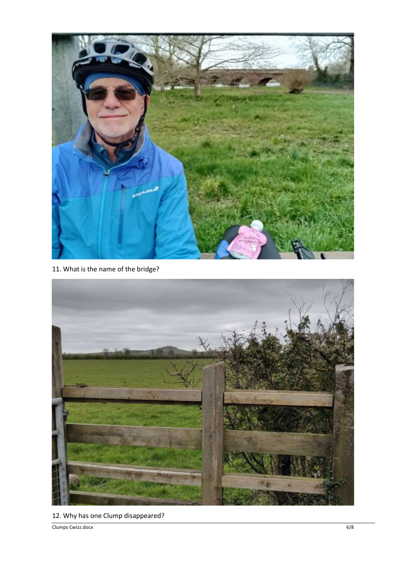

11. What is the name of the bridge?



12. Why has one Clump disappeared?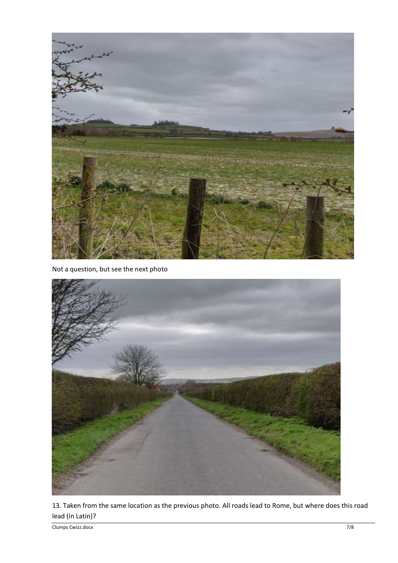

Not a question, but see the next photo



13. Taken from the same location as the previous photo. All roads lead to Rome, but where does this road lead (in Latin)?